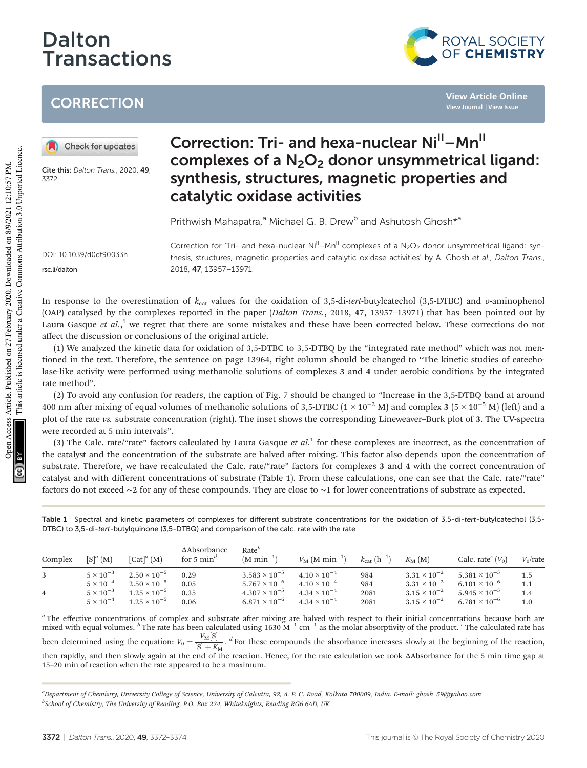# Dalton **Transactions**



**View Article Online View Journal | View Issue**

## **CORRECTION**

Check for updates

Cite this: Dalton Trans., 2020, 49 3372

## Correction: Tri- and hexa-nuclear Ni<sup>II</sup>-Mn<sup>II</sup> complexes of a  $N_2O_2$  donor unsymmetrical ligand: synthesis, structures, magnetic properties and catalytic oxidase activities

Prithwish Mahapatra,<sup>a</sup> Michael G. B. Drew<sup>b</sup> and Ashutosh Ghosh\*<sup>a</sup>

DOI: 10.1039/d0dt90033h rsc.li/dalton

Correction for 'Tri- and hexa-nuclear  $Ni^{\parallel}$ –Mn $^{\parallel}$  complexes of a N<sub>2</sub>O<sub>2</sub> donor unsymmetrical ligand: synthesis, structures, magnetic properties and catalytic oxidase activities' by A. Ghosh et al., Dalton Trans., 2018, 47, 13957–13971.

In response to the overestimation of  $k_{cat}$  values for the oxidation of 3,5-di-tert-butylcatechol (3,5-DTBC) and *o*-aminophenol (OAP) catalysed by the complexes reported in the paper (*Dalton Trans.*, 2018, 47, 13957–13971) that has been pointed out by Laura Gasque *et al.*,<sup>1</sup> we regret that there are some mistakes and these have been corrected below. These corrections do not affect the discussion or conclusions of the original article.

(1) We analyzed the kinetic data for oxidation of 3,5-DTBC to 3,5-DTBQ by the "integrated rate method" which was not mentioned in the text. Therefore, the sentence on page 13964, right column should be changed to "The kinetic studies of catecholase-like activity were performed using methanolic solutions of complexes 3 and 4 under aerobic conditions by the integrated rate method".

(2) To avoid any confusion for readers, the caption of Fig. 7 should be changed to "Increase in the 3,5-DTBQ band at around 400 nm after mixing of equal volumes of methanolic solutions of 3,5-DTBC ( $1 \times 10^{-2}$  M) and complex 3 ( $5 \times 10^{-5}$  M) (left) and a plot of the rate *vs.* substrate concentration (right). The inset shows the corresponding Lineweaver–Burk plot of 3. The UV-spectra were recorded at 5 min intervals".

(3) The Calc. rate/"rate" factors calculated by Laura Gasque *et al.*<sup>1</sup> for these complexes are incorrect, as the concentration of the catalyst and the concentration of the substrate are halved after mixing. This factor also depends upon the concentration of substrate. Therefore, we have recalculated the Calc. rate/"rate" factors for complexes 3 and 4 with the correct concentration of catalyst and with different concentrations of substrate (Table 1). From these calculations, one can see that the Calc. rate/"rate" factors do not exceed ∼2 for any of these compounds. They are close to ∼1 for lower concentrations of substrate as expected.

Table 1 Spectral and kinetic parameters of complexes for different substrate concentrations for the oxidation of 3,5-di-tert-butylcatechol (3,5- DTBC) to 3,5-di-tert-butylquinone (3,5-DTBQ) and comparison of the calc. rate with the rate

| Complex | $[S]^a(M)$         | $\left[ \text{Cat} \right]^a$ $(M)$ | $\Delta$ Absorbance<br>for 5 $\text{min}^d$ | Rate <sup>b</sup><br>$(M min-1)$ | $V_{\rm M}$ (M min <sup>-1</sup> ) | $k_{\text{cat}}\,(\text{h}^{-1})$ | $K_{\mathbf{M}}(\mathbf{M})$ | Calc. rate <sup><math>c</math></sup> $(V_0)$ | $V_0$ /rate |
|---------|--------------------|-------------------------------------|---------------------------------------------|----------------------------------|------------------------------------|-----------------------------------|------------------------------|----------------------------------------------|-------------|
| 3       | $5 \times 10^{-3}$ | $2.50 \times 10^{-5}$               | 0.29                                        | $3.583 \times 10^{-5}$           | $4.10 \times 10^{-4}$              | 984                               | $3.31 \times 10^{-2}$        | $5.381 \times 10^{-5}$                       | 1.5         |
|         | $5 \times 10^{-4}$ | $2.50 \times 10^{-5}$               | 0.05                                        | $5.767 \times 10^{-6}$           | $4.10 \times 10^{-4}$              | 984                               | $3.31 \times 10^{-2}$        | $6.101 \times 10^{-6}$                       | 1.1         |
| 4       | $5 \times 10^{-3}$ | $1.25 \times 10^{-5}$               | 0.35                                        | $4.307 \times 10^{-5}$           | $4.34 \times 10^{-4}$              | 2081                              | $3.15 \times 10^{-2}$        | $5.945 \times 10^{-5}$                       | 1.4         |
|         | $5 \times 10^{-4}$ | $1.25 \times 10^{-5}$               | 0.06                                        | $6.871 \times 10^{-6}$           | $4.34 \times 10^{-4}$              | 2081                              | $3.15 \times 10^{-2}$        | $6.781 \times 10^{-6}$                       | 1.0         |

<sup>a</sup> The effective concentrations of complex and substrate after mixing are halved with respect to their initial concentrations because both are mixed with equal volumes. <sup>*b*</sup> The rate has been calculated using 1630 M<sup>−1</sup> cm<sup>−1</sup> as the molar absorptivity of the product. <sup>*c*</sup> The calculated rate has here alculated rate has been calculated using 1630 M<sup>−1</sup> cm<sup>−1</sup> been determined using the equation:  $V_0 = \frac{V_M[S]}{[S] + K_M}$ . <sup>*d*</sup> For these compounds the absorbance increases slowly at the beginning of the reaction, then rapidly, and then slowly again at the end of the reaction. Hence, for the rate calculation we took ΔAbsorbance for the 5 min time gap at 15–20 min of reaction when the rate appeared to be a maximum.

*<sup>a</sup>Department of Chemistry, University College of Science, University of Calcutta, 92, A. P. C. Road, Kolkata 700009, India. E-mail: ghosh\_59@yahoo.com b School of Chemistry, The University of Reading, P.O. Box 224, Whiteknights, Reading RG6 6AD, UK*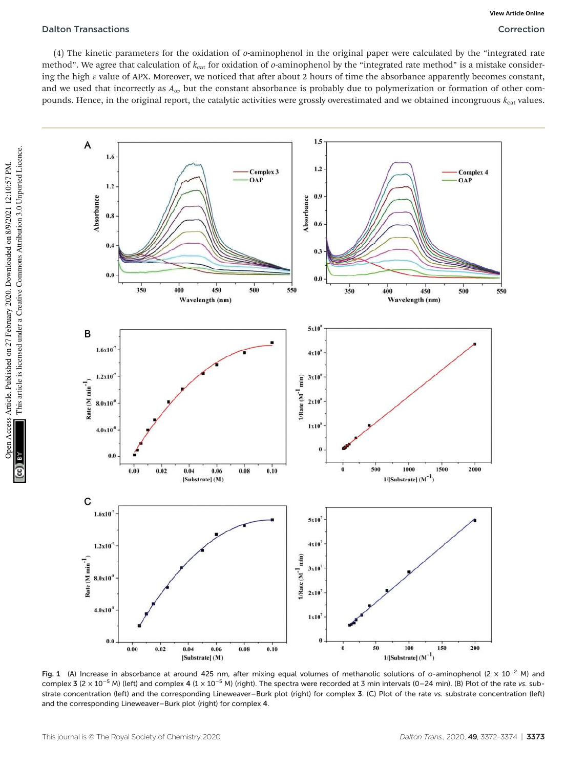#### Dalton Transactions Correction

(4) The kinetic parameters for the oxidation of *o*-aminophenol in the original paper were calculated by the "integrated rate method". We agree that calculation of  $k_{cat}$  for oxidation of *o*-aminophenol by the "integrated rate method" is a mistake considering the high  $\varepsilon$  value of APX. Moreover, we noticed that after about 2 hours of time the absorbance apparently becomes constant, and we used that incorrectly as  $A_{\alpha}$ , but the constant absorbance is probably due to polymerization or formation of other compounds. Hence, in the original report, the catalytic activities were grossly overestimated and we obtained incongruous  $k_{\text{cat}}$  values.



Fig. 1 (A) Increase in absorbance at around 425 nm, after mixing equal volumes of methanolic solutions of o-aminophenol (2 × 10<sup>-2</sup> M) and complex 3 (2 × 10<sup>-5</sup> M) (left) and complex 4 (1 × 10<sup>-5</sup> M) (right). The spectra were recorded at 3 min intervals (0–24 min). (B) Plot of the rate vs. substrate concentration (left) and the corresponding Lineweaver–Burk plot (right) for complex 3. (C) Plot of the rate vs. substrate concentration (left) and the corresponding Lineweaver–Burk plot (right) for complex 4.